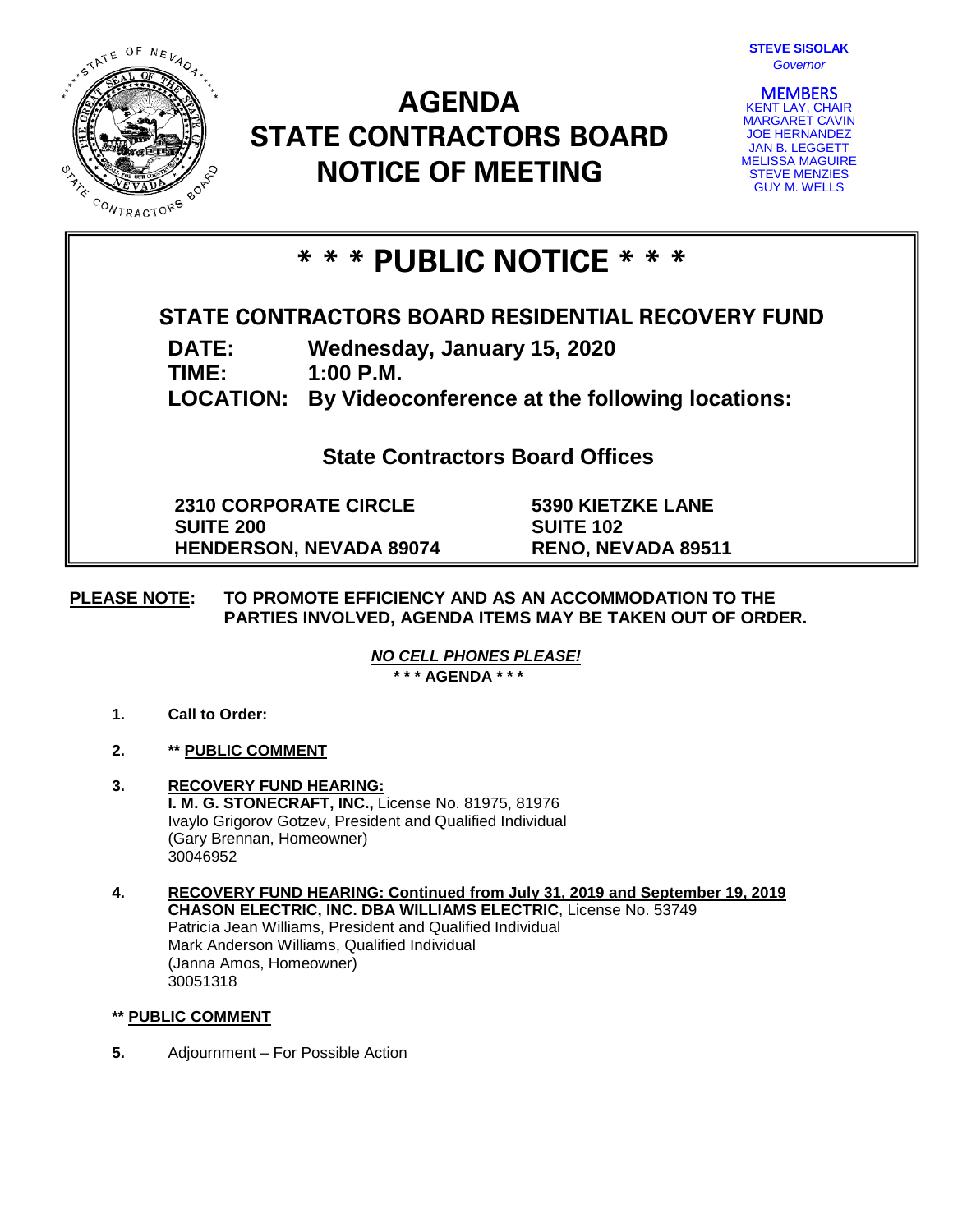

# **AGENDA STATE CONTRACTORS BOARD NOTICE OF MEETING**



**MEMBERS**<br>KENT LAY, CHAIR MARGARET CAVIN JOE HERNANDEZ JAN B. LEGGETT MELISSA MAGUIRE STEVE MENZIES GUY M. WELLS

## **\* \* \* PUBLIC NOTICE \* \* \***

### **STATE CONTRACTORS BOARD RESIDENTIAL RECOVERY FUND**

**DATE: Wednesday, January 15, 2020**

**TIME: 1:00 P.M.**

**LOCATION: By Videoconference at the following locations:**

**State Contractors Board Offices**

**2310 CORPORATE CIRCLE SUITE 200 HENDERSON, NEVADA 89074** **5390 KIETZKE LANE SUITE 102 RENO, NEVADA 89511**

### **PLEASE NOTE: TO PROMOTE EFFICIENCY AND AS AN ACCOMMODATION TO THE PARTIES INVOLVED, AGENDA ITEMS MAY BE TAKEN OUT OF ORDER.**

*NO CELL PHONES PLEASE!* 

**\* \* \* AGENDA \* \* \***

- **1. Call to Order:**
- **2. \*\* PUBLIC COMMENT**
- **3. RECOVERY FUND HEARING: I. M. G. STONECRAFT, INC.,** License No. 81975, 81976 Ivaylo Grigorov Gotzev, President and Qualified Individual (Gary Brennan, Homeowner) 30046952
- **4. RECOVERY FUND HEARING: Continued from July 31, 2019 and September 19, 2019 CHASON ELECTRIC, INC. DBA WILLIAMS ELECTRIC**, License No. 53749 Patricia Jean Williams, President and Qualified Individual Mark Anderson Williams, Qualified Individual (Janna Amos, Homeowner) 30051318

#### **\*\* PUBLIC COMMENT**

**5.** Adjournment – For Possible Action